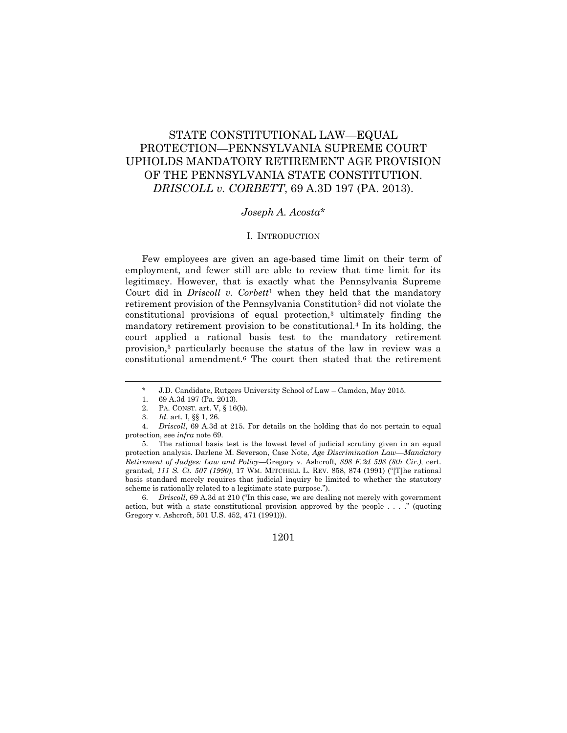# STATE CONSTITUTIONAL LAW—EQUAL PROTECTION—PENNSYLVANIA SUPREME COURT UPHOLDS MANDATORY RETIREMENT AGE PROVISION OF THE PENNSYLVANIA STATE CONSTITUTION. *DRISCOLL v. CORBETT*, 69 A.3D 197 (PA. 2013).

# *Joseph A. Acosta*\*

## I. INTRODUCTION

Few employees are given an age-based time limit on their term of employment, and fewer still are able to review that time limit for its legitimacy. However, that is exactly what the Pennsylvania Supreme Court did in *Driscoll v. Corbett*<sup>1</sup> when they held that the mandatory retirement provision of the Pennsylvania Constitution<sup>2</sup> did not violate the constitutional provisions of equal protection,<sup>3</sup> ultimately finding the mandatory retirement provision to be constitutional.<sup>4</sup> In its holding, the court applied a rational basis test to the mandatory retirement provision,<sup>5</sup> particularly because the status of the law in review was a constitutional amendment.<sup>6</sup> The court then stated that the retirement

<sup>\*</sup> J.D. Candidate, Rutgers University School of Law – Camden, May 2015.

<sup>1.</sup> 69 A.3d 197 (Pa. 2013).

<sup>2.</sup> PA. CONST. art. V, § 16(b).

<sup>3.</sup> *Id.* art. I, §§ 1, 26.

<sup>4.</sup> *Driscoll*, 69 A.3d at 215. For details on the holding that do not pertain to equal protection, see *infra* note 69.

<sup>5.</sup> The rational basis test is the lowest level of judicial scrutiny given in an equal protection analysis. Darlene M. Severson, Case Note, *Age Discrimination Law—Mandatory Retirement of Judges: Law and Policy—*Gregory v. Ashcroft*, 898 F.2d 598 (8th Cir.),* cert. granted*, 111 S. Ct. 507 (1990)*, 17 WM. MITCHELL L. REV. 858, 874 (1991) ("[T]he rational basis standard merely requires that judicial inquiry be limited to whether the statutory scheme is rationally related to a legitimate state purpose.").

<sup>6.</sup> *Driscoll*, 69 A.3d at 210 ("In this case, we are dealing not merely with government action, but with a state constitutional provision approved by the people  $\dots$ ." (quoting Gregory v. Ashcroft, 501 U.S. 452, 471 (1991))).

<sup>1201</sup>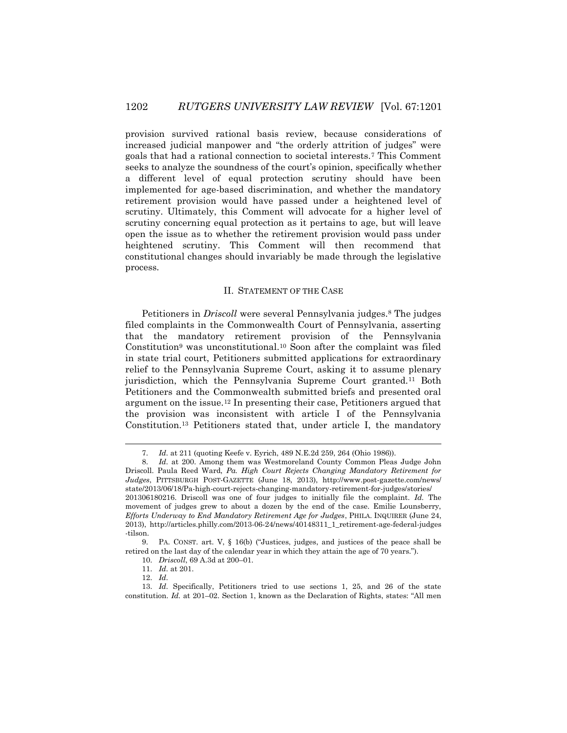provision survived rational basis review, because considerations of increased judicial manpower and "the orderly attrition of judges" were goals that had a rational connection to societal interests.<sup>7</sup> This Comment seeks to analyze the soundness of the court's opinion, specifically whether a different level of equal protection scrutiny should have been implemented for age-based discrimination, and whether the mandatory retirement provision would have passed under a heightened level of scrutiny. Ultimately, this Comment will advocate for a higher level of scrutiny concerning equal protection as it pertains to age, but will leave open the issue as to whether the retirement provision would pass under heightened scrutiny. This Comment will then recommend that constitutional changes should invariably be made through the legislative process.

## II. STATEMENT OF THE CASE

Petitioners in *Driscoll* were several Pennsylvania judges.<sup>8</sup> The judges filed complaints in the Commonwealth Court of Pennsylvania, asserting that the mandatory retirement provision of the Pennsylvania Constitution<sup>9</sup> was unconstitutional.<sup>10</sup> Soon after the complaint was filed in state trial court, Petitioners submitted applications for extraordinary relief to the Pennsylvania Supreme Court, asking it to assume plenary jurisdiction, which the Pennsylvania Supreme Court granted.<sup>11</sup> Both Petitioners and the Commonwealth submitted briefs and presented oral argument on the issue.<sup>12</sup> In presenting their case, Petitioners argued that the provision was inconsistent with article I of the Pennsylvania Constitution.<sup>13</sup> Petitioners stated that, under article I, the mandatory

<sup>7.</sup> *Id.* at 211 (quoting Keefe v. Eyrich, 489 N.E.2d 259, 264 (Ohio 1986)).

<sup>8.</sup> *Id.* at 200. Among them was Westmoreland County Common Pleas Judge John Driscoll. Paula Reed Ward, *Pa. High Court Rejects Changing Mandatory Retirement for Judges*, PITTSBURGH POST-GAZETTE (June 18, 2013), http://www.post-gazette.com/news/ state/2013/06/18/Pa-high-court-rejects-changing-mandatory-retirement-for-judges/stories/ 201306180216. Driscoll was one of four judges to initially file the complaint. *Id.* The movement of judges grew to about a dozen by the end of the case. Emilie Lounsberry, *Efforts Underway to End Mandatory Retirement Age for Judges*, PHILA. INQUIRER (June 24, 2013), http://articles.philly.com/2013-06-24/news/40148311\_1\_retirement-age-federal-judges -tilson.

<sup>9.</sup> PA. CONST. art. V, § 16(b) ("Justices, judges, and justices of the peace shall be retired on the last day of the calendar year in which they attain the age of 70 years.").

<sup>10.</sup> *Driscoll*, 69 A.3d at 200–01.

<sup>11.</sup> *Id.* at 201.

<sup>12.</sup> *Id.*

<sup>13.</sup> *Id.* Specifically, Petitioners tried to use sections 1, 25, and 26 of the state constitution. *Id.* at 201–02. Section 1, known as the Declaration of Rights, states: "All men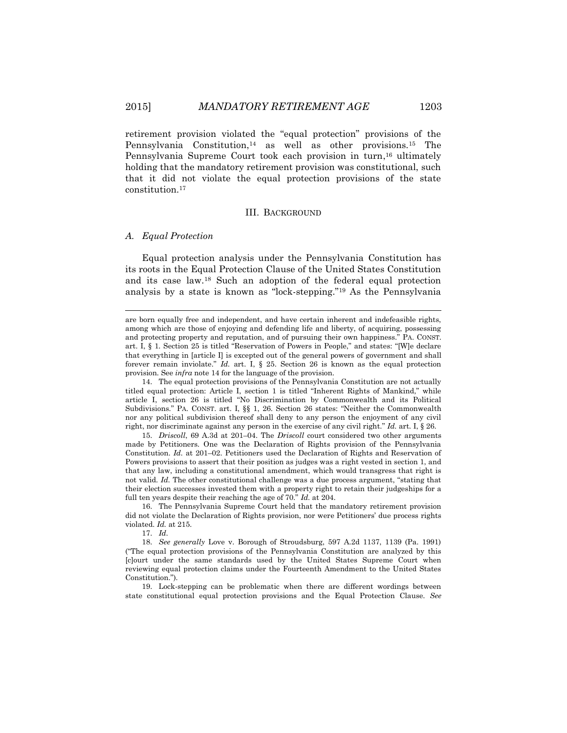retirement provision violated the "equal protection" provisions of the Pennsylvania Constitution,<sup>14</sup> as well as other provisions.<sup>15</sup> The Pennsylvania Supreme Court took each provision in turn, <sup>16</sup> ultimately holding that the mandatory retirement provision was constitutional, such that it did not violate the equal protection provisions of the state constitution.<sup>17</sup>

# III. BACKGROUND

#### *A. Equal Protection*

 $\overline{a}$ 

Equal protection analysis under the Pennsylvania Constitution has its roots in the Equal Protection Clause of the United States Constitution and its case law.<sup>18</sup> Such an adoption of the federal equal protection analysis by a state is known as "lock-stepping."<sup>19</sup> As the Pennsylvania

17. *Id.*

are born equally free and independent, and have certain inherent and indefeasible rights, among which are those of enjoying and defending life and liberty, of acquiring, possessing and protecting property and reputation, and of pursuing their own happiness." PA. CONST. art. I, § 1. Section 25 is titled "Reservation of Powers in People," and states: "[W]e declare that everything in [article I] is excepted out of the general powers of government and shall forever remain inviolate." *Id.* art. I, § 25. Section 26 is known as the equal protection provision. See *infra* note 14 for the language of the provision.

<sup>14.</sup> The equal protection provisions of the Pennsylvania Constitution are not actually titled equal protection: Article I, section 1 is titled "Inherent Rights of Mankind," while article I, section 26 is titled "No Discrimination by Commonwealth and its Political Subdivisions." PA. CONST. art. I, §§ 1, 26. Section 26 states: "Neither the Commonwealth nor any political subdivision thereof shall deny to any person the enjoyment of any civil right, nor discriminate against any person in the exercise of any civil right." *Id.* art. I, § 26.

<sup>15.</sup> *Driscoll*, 69 A.3d at 201–04. The *Driscoll* court considered two other arguments made by Petitioners. One was the Declaration of Rights provision of the Pennsylvania Constitution. *Id.* at 201–02. Petitioners used the Declaration of Rights and Reservation of Powers provisions to assert that their position as judges was a right vested in section 1, and that any law, including a constitutional amendment, which would transgress that right is not valid. *Id.* The other constitutional challenge was a due process argument, "stating that their election successes invested them with a property right to retain their judgeships for a full ten years despite their reaching the age of 70." *Id.* at 204.

<sup>16.</sup> The Pennsylvania Supreme Court held that the mandatory retirement provision did not violate the Declaration of Rights provision, nor were Petitioners' due process rights violated. *Id.* at 215.

<sup>18.</sup> *See generally* Love v. Borough of Stroudsburg, 597 A.2d 1137, 1139 (Pa. 1991) ("The equal protection provisions of the Pennsylvania Constitution are analyzed by this [c]ourt under the same standards used by the United States Supreme Court when reviewing equal protection claims under the Fourteenth Amendment to the United States Constitution.").

<sup>19.</sup> Lock-stepping can be problematic when there are different wordings between state constitutional equal protection provisions and the Equal Protection Clause. *See*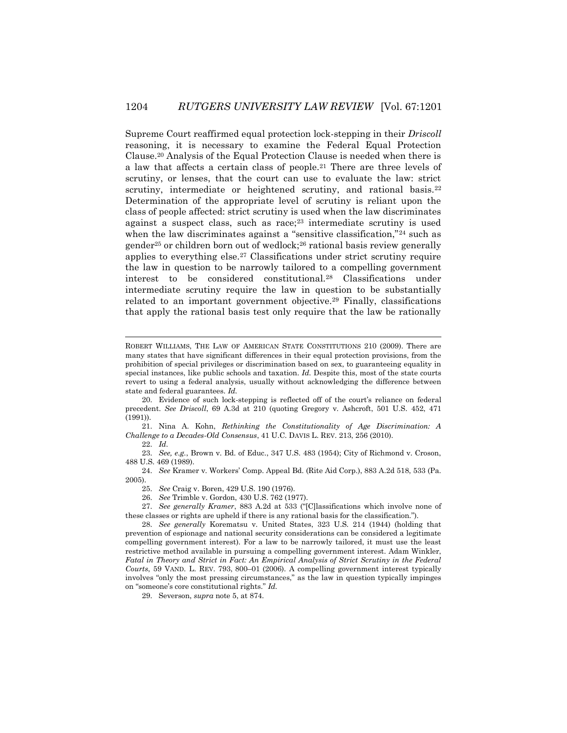Supreme Court reaffirmed equal protection lock-stepping in their *Driscoll* reasoning, it is necessary to examine the Federal Equal Protection Clause.<sup>20</sup> Analysis of the Equal Protection Clause is needed when there is a law that affects a certain class of people.<sup>21</sup> There are three levels of scrutiny, or lenses, that the court can use to evaluate the law: strict scrutiny, intermediate or heightened scrutiny, and rational basis.<sup>22</sup> Determination of the appropriate level of scrutiny is reliant upon the class of people affected: strict scrutiny is used when the law discriminates against a suspect class, such as race;<sup>23</sup> intermediate scrutiny is used when the law discriminates against a "sensitive classification,"<sup>24</sup> such as gender<sup>25</sup> or children born out of wedlock;<sup>26</sup> rational basis review generally applies to everything else.<sup>27</sup> Classifications under strict scrutiny require the law in question to be narrowly tailored to a compelling government interest to be considered constitutional.<sup>28</sup> Classifications under intermediate scrutiny require the law in question to be substantially related to an important government objective.<sup>29</sup> Finally, classifications that apply the rational basis test only require that the law be rationally

21. Nina A. Kohn, *Rethinking the Constitutionality of Age Discrimination: A Challenge to a Decades-Old Consensus*, 41 U.C. DAVIS L. REV. 213, 256 (2010).

22. *Id.*

 $\overline{a}$ 

23. *See, e.g.*, Brown v. Bd. of Educ., 347 U.S. 483 (1954); City of Richmond v. Croson, 488 U.S. 469 (1989).

24. *See* Kramer v. Workers' Comp. Appeal Bd. (Rite Aid Corp.), 883 A.2d 518, 533 (Pa. 2005).

25. *See* Craig v. Boren, 429 U.S. 190 (1976).

26. *See* Trimble v. Gordon, 430 U.S. 762 (1977).

27. *See generally Kramer*, 883 A.2d at 533 ("[C]lassifications which involve none of these classes or rights are upheld if there is any rational basis for the classification.").

28. *See generally* Korematsu v. United States, 323 U.S. 214 (1944) (holding that prevention of espionage and national security considerations can be considered a legitimate compelling government interest). For a law to be narrowly tailored, it must use the least restrictive method available in pursuing a compelling government interest. Adam Winkler, *Fatal in Theory and Strict in Fact: An Empirical Analysis of Strict Scrutiny in the Federal Courts*, 59 VAND. L. REV. 793, 800–01 (2006). A compelling government interest typically involves "only the most pressing circumstances," as the law in question typically impinges on "someone's core constitutional rights." *Id.*

29. Severson, *supra* note 5, at 874.

ROBERT WILLIAMS, THE LAW OF AMERICAN STATE CONSTITUTIONS 210 (2009). There are many states that have significant differences in their equal protection provisions, from the prohibition of special privileges or discrimination based on sex, to guaranteeing equality in special instances, like public schools and taxation. *Id.* Despite this, most of the state courts revert to using a federal analysis, usually without acknowledging the difference between state and federal guarantees. *Id.*

<sup>20.</sup> Evidence of such lock-stepping is reflected off of the court's reliance on federal precedent. *See Driscoll*, 69 A.3d at 210 (quoting Gregory v. Ashcroft, 501 U.S. 452, 471 (1991)).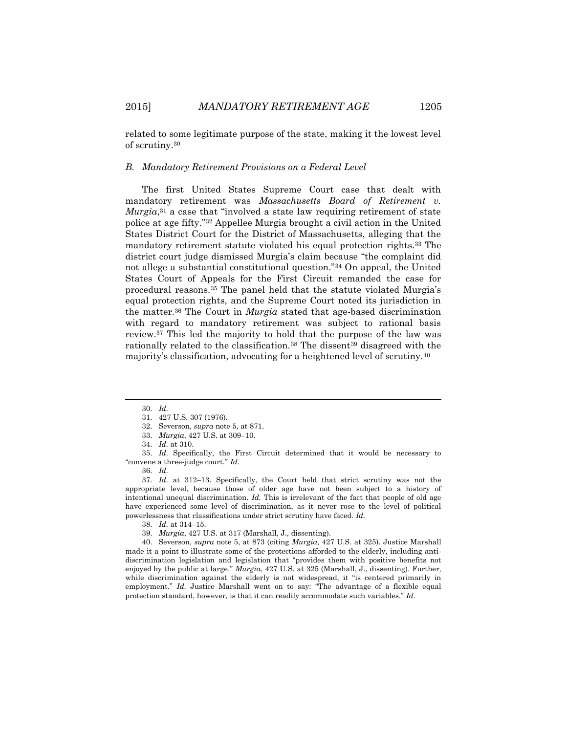related to some legitimate purpose of the state, making it the lowest level of scrutiny.<sup>30</sup>

## *B. Mandatory Retirement Provisions on a Federal Level*

The first United States Supreme Court case that dealt with mandatory retirement was *Massachusetts Board of Retirement v. Murgia*<sup>31</sup> a case that "involved a state law requiring retirement of state police at age fifty."<sup>32</sup> Appellee Murgia brought a civil action in the United States District Court for the District of Massachusetts, alleging that the mandatory retirement statute violated his equal protection rights.<sup>33</sup> The district court judge dismissed Murgia's claim because "the complaint did not allege a substantial constitutional question."<sup>34</sup> On appeal, the United States Court of Appeals for the First Circuit remanded the case for procedural reasons.<sup>35</sup> The panel held that the statute violated Murgia's equal protection rights, and the Supreme Court noted its jurisdiction in the matter.<sup>36</sup> The Court in *Murgia* stated that age-based discrimination with regard to mandatory retirement was subject to rational basis review.<sup>37</sup> This led the majority to hold that the purpose of the law was rationally related to the classification.<sup>38</sup> The dissent<sup>39</sup> disagreed with the majority's classification, advocating for a heightened level of scrutiny.<sup>40</sup>

 $\overline{a}$ 

40. Severson, *supra* note 5, at 873 (citing *Murgia*, 427 U.S. at 325). Justice Marshall made it a point to illustrate some of the protections afforded to the elderly, including antidiscrimination legislation and legislation that "provides them with positive benefits not enjoyed by the public at large." *Murgia*, 427 U.S. at 325 (Marshall, J., dissenting). Further, while discrimination against the elderly is not widespread, it "is centered primarily in employment." *Id.* Justice Marshall went on to say: "The advantage of a flexible equal protection standard, however, is that it can readily accommodate such variables." *Id.*

<sup>30.</sup> *Id.*

<sup>31.</sup> 427 U.S. 307 (1976).

<sup>32.</sup> Severson, *supra* note 5, at 871.

<sup>33.</sup> *Murgia*, 427 U.S. at 309–10.

<sup>34.</sup> *Id.* at 310.

<sup>35.</sup> *Id.* Specifically, the First Circuit determined that it would be necessary to "convene a three-judge court." *Id.*

<sup>36.</sup> *Id.*

<sup>37.</sup> *Id.* at 312–13. Specifically, the Court held that strict scrutiny was not the appropriate level, because those of older age have not been subject to a history of intentional unequal discrimination. *Id.* This is irrelevant of the fact that people of old age have experienced some level of discrimination, as it never rose to the level of political powerlessness that classifications under strict scrutiny have faced. *Id.*

<sup>38.</sup> *Id.* at 314–15.

<sup>39.</sup> *Murgia*, 427 U.S. at 317 (Marshall, J., dissenting).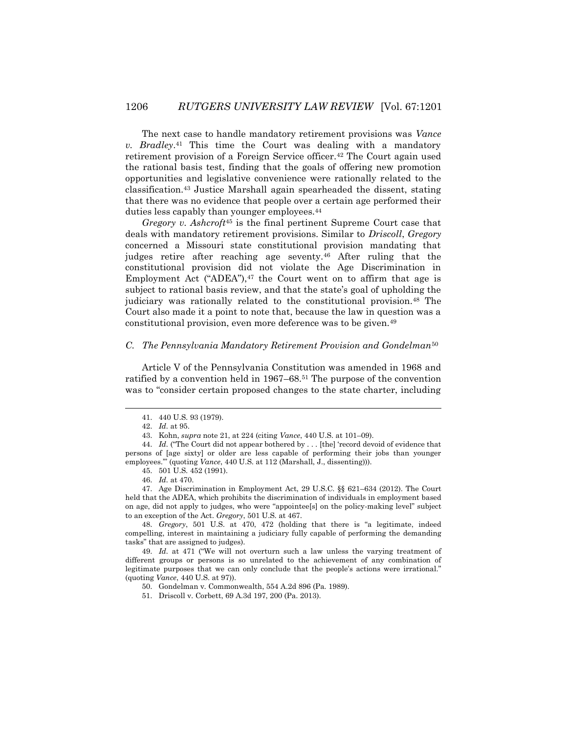The next case to handle mandatory retirement provisions was *Vance v. Bradley*. <sup>41</sup> This time the Court was dealing with a mandatory retirement provision of a Foreign Service officer.<sup>42</sup> The Court again used the rational basis test, finding that the goals of offering new promotion opportunities and legislative convenience were rationally related to the classification.<sup>43</sup> Justice Marshall again spearheaded the dissent, stating that there was no evidence that people over a certain age performed their duties less capably than younger employees.<sup>44</sup>

*Gregory v. Ashcroft*<sup>45</sup> is the final pertinent Supreme Court case that deals with mandatory retirement provisions. Similar to *Driscoll*, *Gregory* concerned a Missouri state constitutional provision mandating that judges retire after reaching age seventy.<sup>46</sup> After ruling that the constitutional provision did not violate the Age Discrimination in Employment Act ("ADEA"), $47$  the Court went on to affirm that age is subject to rational basis review, and that the state's goal of upholding the judiciary was rationally related to the constitutional provision.<sup>48</sup> The Court also made it a point to note that, because the law in question was a constitutional provision, even more deference was to be given.<sup>49</sup>

# *C. The Pennsylvania Mandatory Retirement Provision and Gondelman*<sup>50</sup>

Article V of the Pennsylvania Constitution was amended in 1968 and ratified by a convention held in 1967–68.<sup>51</sup> The purpose of the convention was to "consider certain proposed changes to the state charter, including

l

47. Age Discrimination in Employment Act, 29 U.S.C. §§ 621–634 (2012). The Court held that the ADEA, which prohibits the discrimination of individuals in employment based on age, did not apply to judges, who were "appointee[s] on the policy-making level" subject to an exception of the Act. *Gregory*, 501 U.S. at 467.

48. *Gregory*, 501 U.S. at 470, 472 (holding that there is "a legitimate, indeed compelling, interest in maintaining a judiciary fully capable of performing the demanding tasks" that are assigned to judges).

49. *Id.* at 471 ("We will not overturn such a law unless the varying treatment of different groups or persons is so unrelated to the achievement of any combination of legitimate purposes that we can only conclude that the people's actions were irrational." (quoting *Vance*, 440 U.S. at 97)).

50. Gondelman v. Commonwealth, 554 A.2d 896 (Pa. 1989).

51. Driscoll v. Corbett, 69 A.3d 197, 200 (Pa. 2013).

<sup>41.</sup> 440 U.S. 93 (1979).

<sup>42.</sup> *Id.* at 95.

<sup>43.</sup> Kohn, *supra* note 21, at 224 (citing *Vance*, 440 U.S. at 101–09).

<sup>44.</sup> *Id.* ("The Court did not appear bothered by . . . [the] 'record devoid of evidence that persons of [age sixty] or older are less capable of performing their jobs than younger employees.'" (quoting *Vance*, 440 U.S. at 112 (Marshall, J., dissenting))).

<sup>45.</sup> 501 U.S. 452 (1991).

<sup>46.</sup> *Id.* at 470.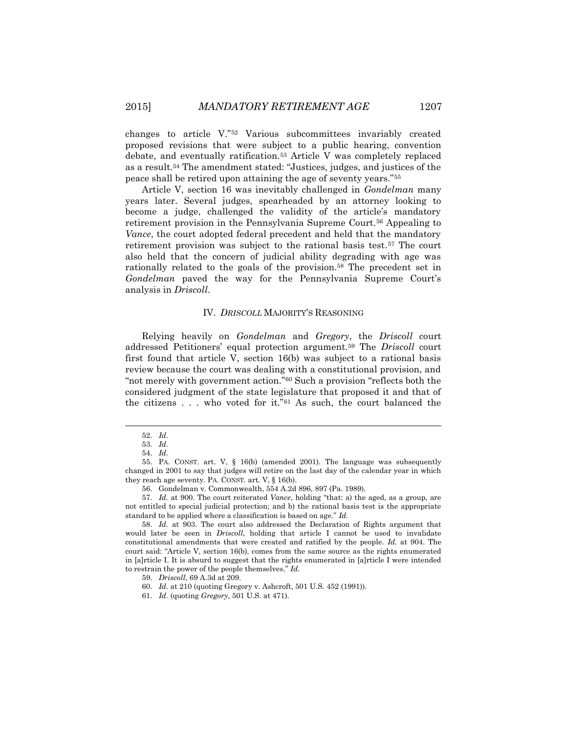changes to article V."<sup>52</sup> Various subcommittees invariably created proposed revisions that were subject to a public hearing, convention debate, and eventually ratification.<sup>53</sup> Article V was completely replaced as a result.<sup>54</sup> The amendment stated: "Justices, judges, and justices of the peace shall be retired upon attaining the age of seventy years."<sup>55</sup>

Article V, section 16 was inevitably challenged in *Gondelman* many years later. Several judges, spearheaded by an attorney looking to become a judge, challenged the validity of the article's mandatory retirement provision in the Pennsylvania Supreme Court.<sup>56</sup> Appealing to *Vance*, the court adopted federal precedent and held that the mandatory retirement provision was subject to the rational basis test.<sup>57</sup> The court also held that the concern of judicial ability degrading with age was rationally related to the goals of the provision.<sup>58</sup> The precedent set in *Gondelman* paved the way for the Pennsylvania Supreme Court's analysis in *Driscoll*.

#### IV. *DRISCOLL* MAJORITY'S REASONING

Relying heavily on *Gondelman* and *Gregory*, the *Driscoll* court addressed Petitioners' equal protection argument.<sup>59</sup> The *Driscoll* court first found that article V, section 16(b) was subject to a rational basis review because the court was dealing with a constitutional provision, and "not merely with government action."<sup>60</sup> Such a provision "reflects both the considered judgment of the state legislature that proposed it and that of the citizens . . . who voted for it."<sup>61</sup> As such, the court balanced the

l

<sup>52.</sup> *Id.*

<sup>53.</sup> *Id.*

<sup>54.</sup> *Id.*

<sup>55.</sup> PA. CONST. art. V, § 16(b) (amended 2001). The language was subsequently changed in 2001 to say that judges will retire on the last day of the calendar year in which they reach age seventy. PA. CONST. art. V, § 16(b).

<sup>56.</sup> Gondelman v. Commonwealth, 554 A.2d 896, 897 (Pa. 1989).

<sup>57.</sup> *Id.* at 900. The court reiterated *Vance*, holding "that: a) the aged, as a group, are not entitled to special judicial protection; and b) the rational basis test is the appropriate standard to be applied where a classification is based on age." *Id.*

<sup>58.</sup> *Id.* at 903. The court also addressed the Declaration of Rights argument that would later be seen in *Driscoll*, holding that article I cannot be used to invalidate constitutional amendments that were created and ratified by the people. *Id.* at 904. The court said: "Article V, section 16(b), comes from the same source as the rights enumerated in [a]rticle I. It is absurd to suggest that the rights enumerated in [a]rticle I were intended to restrain the power of the people themselves." *Id.*

<sup>59.</sup> *Driscoll*, 69 A.3d at 209.

<sup>60.</sup> *Id.* at 210 (quoting Gregory v. Ashcroft, 501 U.S. 452 (1991)).

<sup>61.</sup> *Id.* (quoting *Gregory*, 501 U.S. at 471).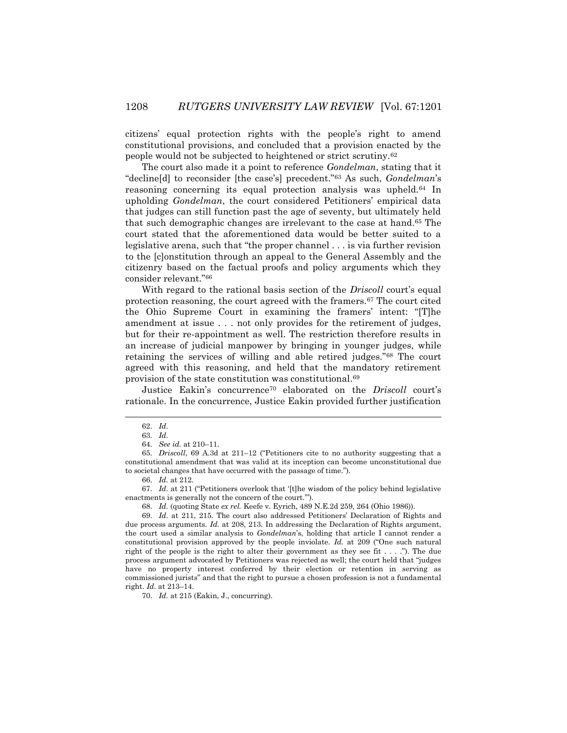citizens' equal protection rights with the people's right to amend constitutional provisions, and concluded that a provision enacted by the people would not be subjected to heightened or strict scrutiny.<sup>62</sup>

The court also made it a point to reference *Gondelman*, stating that it "decline[d] to reconsider [the case's] precedent."<sup>63</sup> As such, *Gondelman*'s reasoning concerning its equal protection analysis was upheld.<sup>64</sup> In upholding *Gondelman*, the court considered Petitioners' empirical data that judges can still function past the age of seventy, but ultimately held that such demographic changes are irrelevant to the case at hand.<sup>65</sup> The court stated that the aforementioned data would be better suited to a legislative arena, such that "the proper channel . . . is via further revision to the [c]onstitution through an appeal to the General Assembly and the citizenry based on the factual proofs and policy arguments which they consider relevant."<sup>66</sup>

With regard to the rational basis section of the *Driscoll* court's equal protection reasoning, the court agreed with the framers.<sup>67</sup> The court cited the Ohio Supreme Court in examining the framers' intent: "[T]he amendment at issue . . . not only provides for the retirement of judges, but for their re-appointment as well. The restriction therefore results in an increase of judicial manpower by bringing in younger judges, while retaining the services of willing and able retired judges."<sup>68</sup> The court agreed with this reasoning, and held that the mandatory retirement provision of the state constitution was constitutional.<sup>69</sup>

Justice Eakin's concurrence<sup>70</sup> elaborated on the *Driscoll* court's rationale. In the concurrence, Justice Eakin provided further justification

 $\overline{a}$ 

66. *Id.* at 212.

70. *Id.* at 215 (Eakin, J., concurring).

<sup>62.</sup> *Id.*

<sup>63.</sup> *Id.*

<sup>64.</sup> *See id.* at 210–11.

<sup>65.</sup> *Driscoll*, 69 A.3d at 211–12 ("Petitioners cite to no authority suggesting that a constitutional amendment that was valid at its inception can become unconstitutional due to societal changes that have occurred with the passage of time.").

<sup>67.</sup> *Id.* at 211 ("Petitioners overlook that '[t]he wisdom of the policy behind legislative enactments is generally not the concern of the court.'").

<sup>68.</sup> *Id.* (quoting State *ex rel.* Keefe v. Eyrich, 489 N.E.2d 259, 264 (Ohio 1986)).

<sup>69.</sup> *Id.* at 211, 215. The court also addressed Petitioners' Declaration of Rights and due process arguments. *Id.* at 208, 213. In addressing the Declaration of Rights argument, the court used a similar analysis to *Gondelman*'s, holding that article I cannot render a constitutional provision approved by the people inviolate. *Id.* at 209 ("One such natural right of the people is the right to alter their government as they see fit  $\dots$  ."). The due process argument advocated by Petitioners was rejected as well; the court held that "judges have no property interest conferred by their election or retention in serving as commissioned jurists" and that the right to pursue a chosen profession is not a fundamental right. *Id.* at 213–14.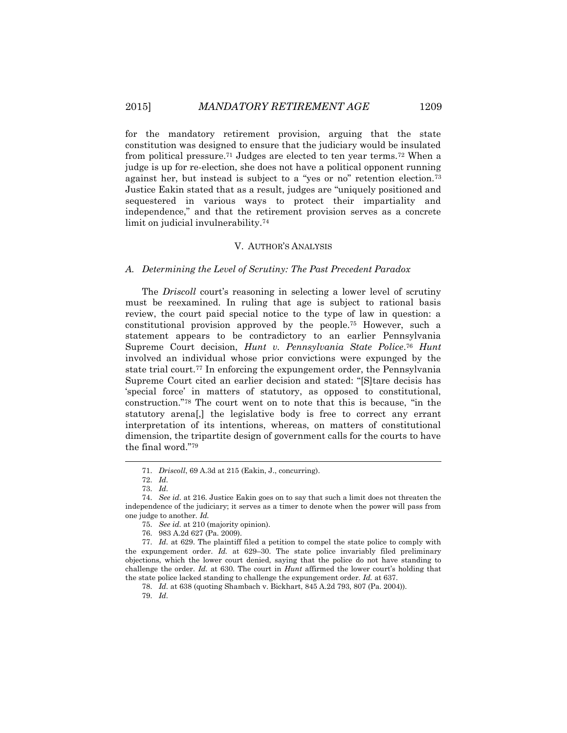for the mandatory retirement provision, arguing that the state constitution was designed to ensure that the judiciary would be insulated from political pressure.<sup>71</sup> Judges are elected to ten year terms.<sup>72</sup> When a judge is up for re-election, she does not have a political opponent running against her, but instead is subject to a "yes or no" retention election.<sup>73</sup> Justice Eakin stated that as a result, judges are "uniquely positioned and sequestered in various ways to protect their impartiality and independence," and that the retirement provision serves as a concrete limit on judicial invulnerability.<sup>74</sup>

## V. AUTHOR'S ANALYSIS

## *A. Determining the Level of Scrutiny: The Past Precedent Paradox*

The *Driscoll* court's reasoning in selecting a lower level of scrutiny must be reexamined. In ruling that age is subject to rational basis review, the court paid special notice to the type of law in question: a constitutional provision approved by the people.<sup>75</sup> However, such a statement appears to be contradictory to an earlier Pennsylvania Supreme Court decision, *Hunt v. Pennsylvania State Police*. <sup>76</sup> *Hunt* involved an individual whose prior convictions were expunged by the state trial court.<sup>77</sup> In enforcing the expungement order, the Pennsylvania Supreme Court cited an earlier decision and stated: "[S]tare decisis has 'special force' in matters of statutory, as opposed to constitutional, construction."<sup>78</sup> The court went on to note that this is because, "in the statutory arena[,] the legislative body is free to correct any errant interpretation of its intentions, whereas, on matters of constitutional dimension, the tripartite design of government calls for the courts to have the final word."<sup>79</sup>

<sup>71.</sup> *Driscoll*, 69 A.3d at 215 (Eakin, J., concurring).

<sup>72.</sup> *Id.*

<sup>73.</sup> *Id.*

<sup>74.</sup> *See id.* at 216. Justice Eakin goes on to say that such a limit does not threaten the independence of the judiciary; it serves as a timer to denote when the power will pass from one judge to another. *Id.*

<sup>75.</sup> *See id.* at 210 (majority opinion).

<sup>76.</sup> 983 A.2d 627 (Pa. 2009).

<sup>77.</sup> *Id.* at 629. The plaintiff filed a petition to compel the state police to comply with the expungement order. *Id.* at 629–30. The state police invariably filed preliminary objections, which the lower court denied, saying that the police do not have standing to challenge the order. *Id.* at 630. The court in *Hunt* affirmed the lower court's holding that the state police lacked standing to challenge the expungement order. *Id.* at 637.

<sup>78.</sup> *Id.* at 638 (quoting Shambach v. Bickhart, 845 A.2d 793, 807 (Pa. 2004)).

<sup>79.</sup> *Id.*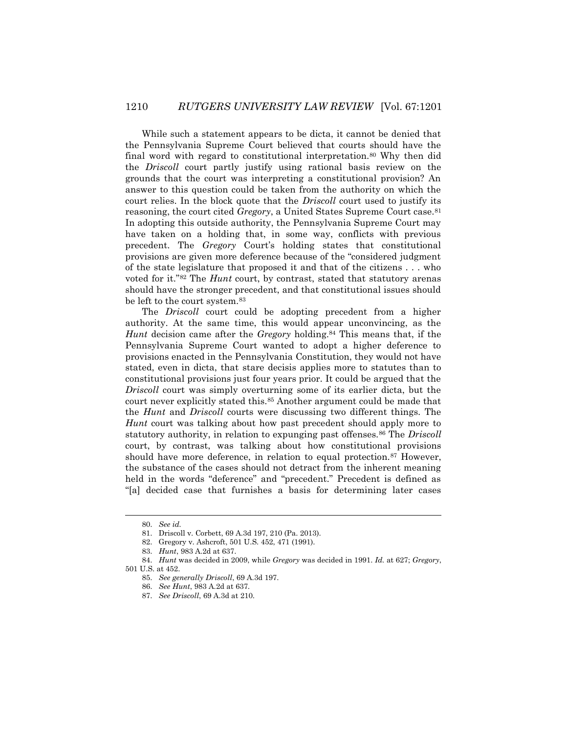While such a statement appears to be dicta, it cannot be denied that the Pennsylvania Supreme Court believed that courts should have the final word with regard to constitutional interpretation.<sup>80</sup> Why then did the *Driscoll* court partly justify using rational basis review on the grounds that the court was interpreting a constitutional provision? An answer to this question could be taken from the authority on which the court relies. In the block quote that the *Driscoll* court used to justify its reasoning, the court cited *Gregory*, a United States Supreme Court case.<sup>81</sup> In adopting this outside authority, the Pennsylvania Supreme Court may have taken on a holding that, in some way, conflicts with previous precedent. The *Gregory* Court's holding states that constitutional provisions are given more deference because of the "considered judgment of the state legislature that proposed it and that of the citizens . . . who voted for it."<sup>82</sup> The *Hunt* court, by contrast, stated that statutory arenas should have the stronger precedent, and that constitutional issues should be left to the court system.<sup>83</sup>

The *Driscoll* court could be adopting precedent from a higher authority. At the same time, this would appear unconvincing, as the *Hunt* decision came after the *Gregory* holding.<sup>84</sup> This means that, if the Pennsylvania Supreme Court wanted to adopt a higher deference to provisions enacted in the Pennsylvania Constitution, they would not have stated, even in dicta, that stare decisis applies more to statutes than to constitutional provisions just four years prior. It could be argued that the *Driscoll* court was simply overturning some of its earlier dicta, but the court never explicitly stated this.<sup>85</sup> Another argument could be made that the *Hunt* and *Driscoll* courts were discussing two different things. The *Hunt* court was talking about how past precedent should apply more to statutory authority, in relation to expunging past offenses.<sup>86</sup> The *Driscoll* court, by contrast, was talking about how constitutional provisions should have more deference, in relation to equal protection.<sup>87</sup> However, the substance of the cases should not detract from the inherent meaning held in the words "deference" and "precedent." Precedent is defined as "[a] decided case that furnishes a basis for determining later cases

<sup>80.</sup> *See id.*

<sup>81.</sup> Driscoll v. Corbett, 69 A.3d 197, 210 (Pa. 2013).

<sup>82.</sup> Gregory v. Ashcroft, 501 U.S. 452, 471 (1991).

<sup>83.</sup> *Hunt*, 983 A.2d at 637.

<sup>84.</sup> *Hunt* was decided in 2009, while *Gregory* was decided in 1991. *Id.* at 627; *Gregory*,

<sup>501</sup> U.S. at 452.

<sup>85.</sup> *See generally Driscoll*, 69 A.3d 197.

<sup>86.</sup> *See Hunt*, 983 A.2d at 637.

<sup>87.</sup> *See Driscoll*, 69 A.3d at 210.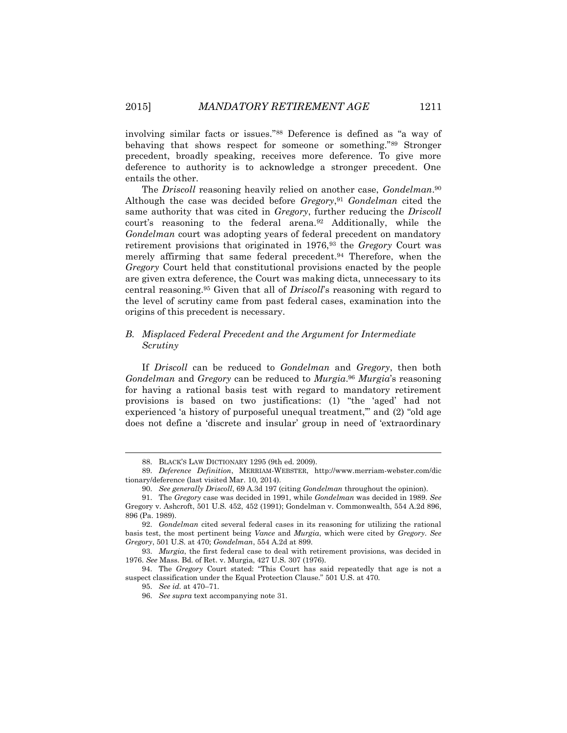involving similar facts or issues."<sup>88</sup> Deference is defined as "a way of behaving that shows respect for someone or something."<sup>89</sup> Stronger precedent, broadly speaking, receives more deference. To give more deference to authority is to acknowledge a stronger precedent. One entails the other.

The *Driscoll* reasoning heavily relied on another case, *Gondelman*. 90 Although the case was decided before *Gregory*, <sup>91</sup> *Gondelman* cited the same authority that was cited in *Gregory*, further reducing the *Driscoll* court's reasoning to the federal arena.<sup>92</sup> Additionally, while the *Gondelman* court was adopting years of federal precedent on mandatory retirement provisions that originated in 1976,<sup>93</sup> the *Gregory* Court was merely affirming that same federal precedent.<sup>94</sup> Therefore, when the *Gregory* Court held that constitutional provisions enacted by the people are given extra deference, the Court was making dicta, unnecessary to its central reasoning.<sup>95</sup> Given that all of *Driscoll*'s reasoning with regard to the level of scrutiny came from past federal cases, examination into the origins of this precedent is necessary.

# *B. Misplaced Federal Precedent and the Argument for Intermediate Scrutiny*

If *Driscoll* can be reduced to *Gondelman* and *Gregory*, then both *Gondelman* and *Gregory* can be reduced to *Murgia*. <sup>96</sup> *Murgia*'s reasoning for having a rational basis test with regard to mandatory retirement provisions is based on two justifications: (1) "the 'aged' had not experienced 'a history of purposeful unequal treatment," and (2) "old age does not define a 'discrete and insular' group in need of 'extraordinary

<sup>88.</sup> BLACK'S LAW DICTIONARY 1295 (9th ed. 2009).

<sup>89.</sup> *Deference Definition*, MERRIAM-WEBSTER, http://www.merriam-webster.com/dic tionary/deference (last visited Mar. 10, 2014).

<sup>90.</sup> *See generally Driscoll*, 69 A.3d 197 (citing *Gondelman* throughout the opinion).

<sup>91.</sup> The *Gregory* case was decided in 1991, while *Gondelman* was decided in 1989. *See* Gregory v. Ashcroft, 501 U.S. 452, 452 (1991); Gondelman v. Commonwealth, 554 A.2d 896, 896 (Pa. 1989).

<sup>92.</sup> *Gondelman* cited several federal cases in its reasoning for utilizing the rational basis test, the most pertinent being *Vance* and *Murgia*, which were cited by *Gregory*. *See Gregory*, 501 U.S. at 470; *Gondelman*, 554 A.2d at 899.

<sup>93.</sup> *Murgia*, the first federal case to deal with retirement provisions, was decided in 1976. *See* Mass. Bd. of Ret. v. Murgia, 427 U.S. 307 (1976).

<sup>94.</sup> The *Gregory* Court stated: "This Court has said repeatedly that age is not a suspect classification under the Equal Protection Clause." 501 U.S. at 470.

<sup>95.</sup> *See id.* at 470–71.

<sup>96.</sup> *See supra* text accompanying note 31.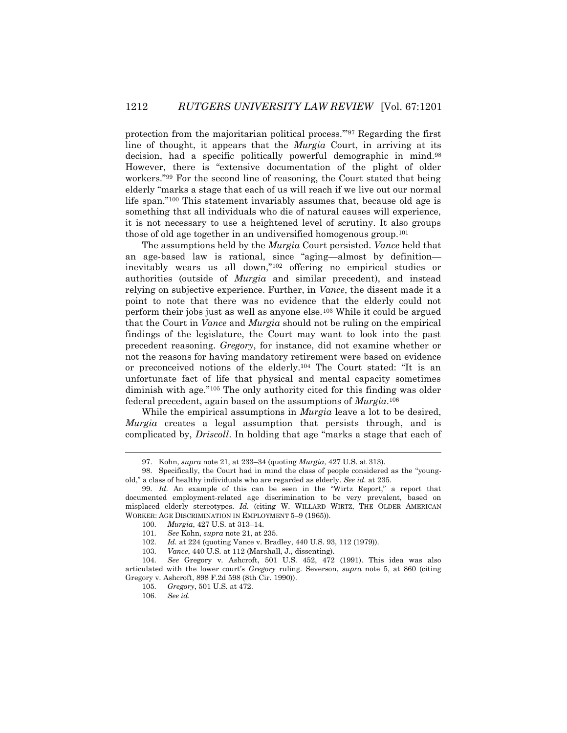protection from the majoritarian political process.'"<sup>97</sup> Regarding the first line of thought, it appears that the *Murgia* Court, in arriving at its decision, had a specific politically powerful demographic in mind.<sup>98</sup> However, there is "extensive documentation of the plight of older workers."<sup>99</sup> For the second line of reasoning, the Court stated that being elderly "marks a stage that each of us will reach if we live out our normal life span."<sup>100</sup> This statement invariably assumes that, because old age is something that all individuals who die of natural causes will experience, it is not necessary to use a heightened level of scrutiny. It also groups those of old age together in an undiversified homogenous group.<sup>101</sup>

The assumptions held by the *Murgia* Court persisted. *Vance* held that an age-based law is rational, since "aging—almost by definition inevitably wears us all down,"<sup>102</sup> offering no empirical studies or authorities (outside of *Murgia* and similar precedent), and instead relying on subjective experience. Further, in *Vance*, the dissent made it a point to note that there was no evidence that the elderly could not perform their jobs just as well as anyone else.<sup>103</sup> While it could be argued that the Court in *Vance* and *Murgia* should not be ruling on the empirical findings of the legislature, the Court may want to look into the past precedent reasoning. *Gregory*, for instance, did not examine whether or not the reasons for having mandatory retirement were based on evidence or preconceived notions of the elderly.<sup>104</sup> The Court stated: "It is an unfortunate fact of life that physical and mental capacity sometimes diminish with age."<sup>105</sup> The only authority cited for this finding was older federal precedent, again based on the assumptions of *Murgia*. 106

While the empirical assumptions in *Murgia* leave a lot to be desired, *Murgia* creates a legal assumption that persists through, and is complicated by, *Driscoll*. In holding that age "marks a stage that each of

<sup>97.</sup> Kohn, *supra* note 21, at 233–34 (quoting *Murgia*, 427 U.S. at 313).

<sup>98.</sup> Specifically, the Court had in mind the class of people considered as the "youngold," a class of healthy individuals who are regarded as elderly. *See id.* at 235.

<sup>99.</sup> *Id.* An example of this can be seen in the "Wirtz Report," a report that documented employment-related age discrimination to be very prevalent, based on misplaced elderly stereotypes. *Id.* (citing W. WILLARD WIRTZ, THE OLDER AMERICAN WORKER: AGE DISCRIMINATION IN EMPLOYMENT 5–9 (1965)).

<sup>100.</sup> *Murgia*, 427 U.S. at 313–14.

<sup>101.</sup> *See* Kohn, *supra* note 21, at 235.

<sup>102.</sup> *Id.* at 224 (quoting Vance v. Bradley, 440 U.S. 93, 112 (1979)).

<sup>103.</sup> *Vance*, 440 U.S. at 112 (Marshall, J., dissenting).

<sup>104.</sup> *See* Gregory v. Ashcroft, 501 U.S. 452, 472 (1991). This idea was also articulated with the lower court's *Gregory* ruling. Severson, *supra* note 5, at 860 (citing Gregory v. Ashcroft, 898 F.2d 598 (8th Cir. 1990)).

<sup>105.</sup> *Gregory*, 501 U.S. at 472.

<sup>106.</sup> *See id.*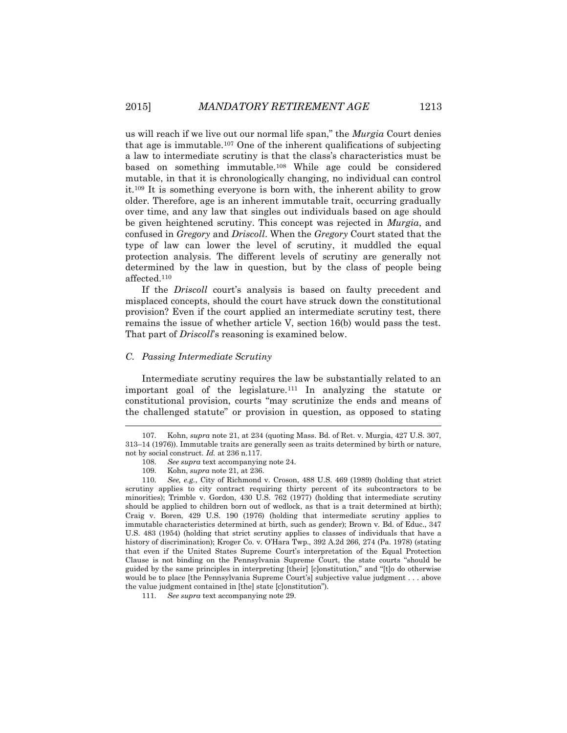us will reach if we live out our normal life span," the *Murgia* Court denies that age is immutable.<sup>107</sup> One of the inherent qualifications of subjecting a law to intermediate scrutiny is that the class's characteristics must be based on something immutable.<sup>108</sup> While age could be considered mutable, in that it is chronologically changing, no individual can control it.<sup>109</sup> It is something everyone is born with, the inherent ability to grow older. Therefore, age is an inherent immutable trait, occurring gradually over time, and any law that singles out individuals based on age should be given heightened scrutiny. This concept was rejected in *Murgia*, and confused in *Gregory* and *Driscoll*. When the *Gregory* Court stated that the type of law can lower the level of scrutiny, it muddled the equal protection analysis. The different levels of scrutiny are generally not determined by the law in question, but by the class of people being affected.<sup>110</sup>

If the *Driscoll* court's analysis is based on faulty precedent and misplaced concepts, should the court have struck down the constitutional provision? Even if the court applied an intermediate scrutiny test, there remains the issue of whether article V, section 16(b) would pass the test. That part of *Driscoll*'s reasoning is examined below.

## *C. Passing Intermediate Scrutiny*

Intermediate scrutiny requires the law be substantially related to an important goal of the legislature.<sup>111</sup> In analyzing the statute or constitutional provision, courts "may scrutinize the ends and means of the challenged statute" or provision in question, as opposed to stating

l

111. *See supra* text accompanying note 29.

<sup>107.</sup> Kohn, *supra* note 21, at 234 (quoting Mass. Bd. of Ret. v. Murgia, 427 U.S. 307, 313–14 (1976)). Immutable traits are generally seen as traits determined by birth or nature, not by social construct. *Id.* at 236 n.117.

<sup>108.</sup> *See supra* text accompanying note 24.

<sup>109.</sup> Kohn, *supra* note 21, at 236.

<sup>110.</sup> *See, e.g.*, City of Richmond v. Croson, 488 U.S. 469 (1989) (holding that strict scrutiny applies to city contract requiring thirty percent of its subcontractors to be minorities); Trimble v. Gordon, 430 U.S. 762 (1977) (holding that intermediate scrutiny should be applied to children born out of wedlock, as that is a trait determined at birth); Craig v. Boren, 429 U.S. 190 (1976) (holding that intermediate scrutiny applies to immutable characteristics determined at birth, such as gender); Brown v. Bd. of Educ., 347 U.S. 483 (1954) (holding that strict scrutiny applies to classes of individuals that have a history of discrimination); Kroger Co. v. O'Hara Twp., 392 A.2d 266, 274 (Pa. 1978) (stating that even if the United States Supreme Court's interpretation of the Equal Protection Clause is not binding on the Pennsylvania Supreme Court, the state courts "should be guided by the same principles in interpreting [their] [c]onstitution," and "[t]o do otherwise would be to place [the Pennsylvania Supreme Court's] subjective value judgment . . . above the value judgment contained in [the] state [c]onstitution").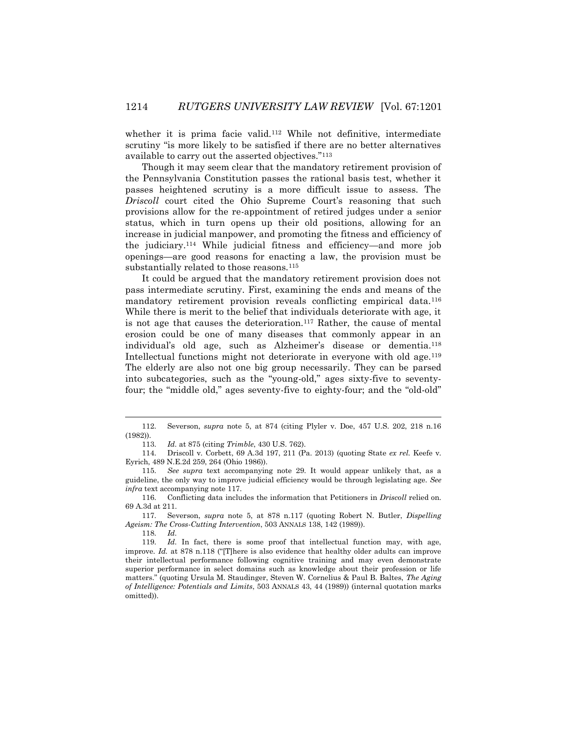whether it is prima facie valid.<sup>112</sup> While not definitive, intermediate scrutiny "is more likely to be satisfied if there are no better alternatives available to carry out the asserted objectives."<sup>113</sup>

Though it may seem clear that the mandatory retirement provision of the Pennsylvania Constitution passes the rational basis test, whether it passes heightened scrutiny is a more difficult issue to assess. The *Driscoll* court cited the Ohio Supreme Court's reasoning that such provisions allow for the re-appointment of retired judges under a senior status, which in turn opens up their old positions, allowing for an increase in judicial manpower, and promoting the fitness and efficiency of the judiciary.<sup>114</sup> While judicial fitness and efficiency—and more job openings—are good reasons for enacting a law, the provision must be substantially related to those reasons.<sup>115</sup>

It could be argued that the mandatory retirement provision does not pass intermediate scrutiny. First, examining the ends and means of the mandatory retirement provision reveals conflicting empirical data.<sup>116</sup> While there is merit to the belief that individuals deteriorate with age, it is not age that causes the deterioration.<sup>117</sup> Rather, the cause of mental erosion could be one of many diseases that commonly appear in an individual's old age, such as Alzheimer's disease or dementia.<sup>118</sup> Intellectual functions might not deteriorate in everyone with old age.<sup>119</sup> The elderly are also not one big group necessarily. They can be parsed into subcategories, such as the "young-old," ages sixty-five to seventyfour; the "middle old," ages seventy-five to eighty-four; and the "old-old"

118. *Id.*

<sup>112.</sup> Severson, *supra* note 5, at 874 (citing Plyler v. Doe, 457 U.S. 202, 218 n.16 (1982)).

<sup>113.</sup> *Id.* at 875 (citing *Trimble*, 430 U.S. 762).

<sup>114.</sup> Driscoll v. Corbett, 69 A.3d 197, 211 (Pa. 2013) (quoting State *ex rel.* Keefe v. Eyrich, 489 N.E.2d 259, 264 (Ohio 1986)).

<sup>115.</sup> *See supra* text accompanying note 29. It would appear unlikely that, as a guideline, the only way to improve judicial efficiency would be through legislating age. *See infra* text accompanying note 117.

<sup>116.</sup> Conflicting data includes the information that Petitioners in *Driscoll* relied on. 69 A.3d at 211.

<sup>117.</sup> Severson, *supra* note 5, at 878 n.117 (quoting Robert N. Butler, *Dispelling Ageism: The Cross-Cutting Intervention*, 503 ANNALS 138, 142 (1989)).

<sup>119.</sup> *Id.* In fact, there is some proof that intellectual function may, with age, improve. *Id.* at 878 n.118 ("There is also evidence that healthy older adults can improve their intellectual performance following cognitive training and may even demonstrate superior performance in select domains such as knowledge about their profession or life matters." (quoting Ursula M. Staudinger, Steven W. Cornelius & Paul B. Baltes, *The Aging of Intelligence: Potentials and Limits*, 503 ANNALS 43, 44 (1989)) (internal quotation marks omitted)).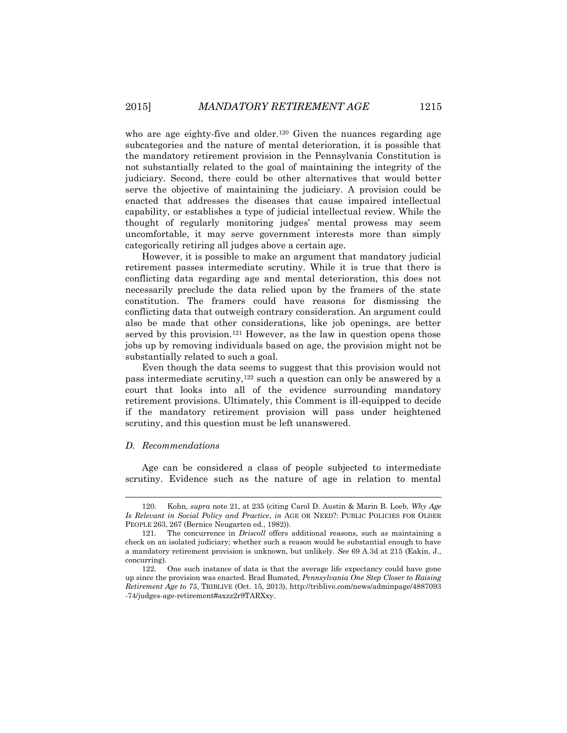who are age eighty-five and older.<sup>120</sup> Given the nuances regarding age subcategories and the nature of mental deterioration, it is possible that the mandatory retirement provision in the Pennsylvania Constitution is not substantially related to the goal of maintaining the integrity of the judiciary. Second, there could be other alternatives that would better serve the objective of maintaining the judiciary. A provision could be enacted that addresses the diseases that cause impaired intellectual capability, or establishes a type of judicial intellectual review. While the thought of regularly monitoring judges' mental prowess may seem uncomfortable, it may serve government interests more than simply categorically retiring all judges above a certain age.

However, it is possible to make an argument that mandatory judicial retirement passes intermediate scrutiny. While it is true that there is conflicting data regarding age and mental deterioration, this does not necessarily preclude the data relied upon by the framers of the state constitution. The framers could have reasons for dismissing the conflicting data that outweigh contrary consideration. An argument could also be made that other considerations, like job openings, are better served by this provision.<sup>121</sup> However, as the law in question opens those jobs up by removing individuals based on age, the provision might not be substantially related to such a goal.

Even though the data seems to suggest that this provision would not pass intermediate scrutiny,<sup>122</sup> such a question can only be answered by a court that looks into all of the evidence surrounding mandatory retirement provisions. Ultimately, this Comment is ill-equipped to decide if the mandatory retirement provision will pass under heightened scrutiny, and this question must be left unanswered.

## *D. Recommendations*

 $\overline{a}$ 

Age can be considered a class of people subjected to intermediate scrutiny. Evidence such as the nature of age in relation to mental

<sup>120.</sup> Kohn, *supra* note 21, at 235 (citing Carol D. Austin & Marin B. Loeb, *Why Age Is Relevant in Social Policy and Practice*, *in* AGE OR NEED?: PUBLIC POLICIES FOR OLDER PEOPLE 263, 267 (Bernice Neugarten ed., 1982)).

<sup>121.</sup> The concurrence in *Driscoll* offers additional reasons, such as maintaining a check on an isolated judiciary; whether such a reason would be substantial enough to have a mandatory retirement provision is unknown, but unlikely. *See* 69 A.3d at 215 (Eakin, J., concurring).

<sup>122.</sup> One such instance of data is that the average life expectancy could have gone up since the provision was enacted. Brad Bumsted, *Pennsylvania One Step Closer to Raising Retirement Age to 75*, TRIBLIVE (Oct. 15, 2013), http://triblive.com/news/adminpage/4887093 -74/judges-age-retirement#axzz2r9TARXxy.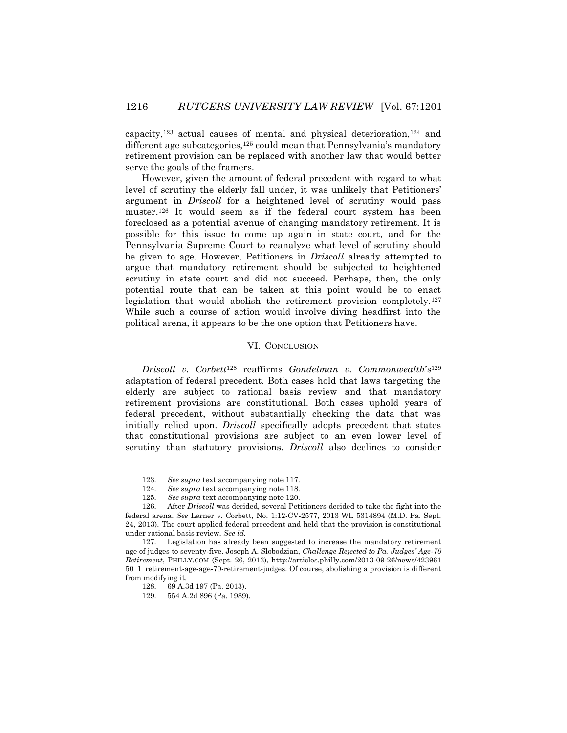capacity,<sup>123</sup> actual causes of mental and physical deterioration,<sup>124</sup> and different age subcategories,<sup>125</sup> could mean that Pennsylvania's mandatory retirement provision can be replaced with another law that would better serve the goals of the framers.

However, given the amount of federal precedent with regard to what level of scrutiny the elderly fall under, it was unlikely that Petitioners' argument in *Driscoll* for a heightened level of scrutiny would pass muster. <sup>126</sup> It would seem as if the federal court system has been foreclosed as a potential avenue of changing mandatory retirement. It is possible for this issue to come up again in state court, and for the Pennsylvania Supreme Court to reanalyze what level of scrutiny should be given to age. However, Petitioners in *Driscoll* already attempted to argue that mandatory retirement should be subjected to heightened scrutiny in state court and did not succeed. Perhaps, then, the only potential route that can be taken at this point would be to enact legislation that would abolish the retirement provision completely.<sup>127</sup> While such a course of action would involve diving headfirst into the political arena, it appears to be the one option that Petitioners have.

# VI. CONCLUSION

*Driscoll v. Corbett*<sup>128</sup> reaffirms *Gondelman v. Commonwealth*'s<sup>129</sup> adaptation of federal precedent. Both cases hold that laws targeting the elderly are subject to rational basis review and that mandatory retirement provisions are constitutional. Both cases uphold years of federal precedent, without substantially checking the data that was initially relied upon. *Driscoll* specifically adopts precedent that states that constitutional provisions are subject to an even lower level of scrutiny than statutory provisions. *Driscoll* also declines to consider

<sup>123.</sup> *See supra* text accompanying note 117.

<sup>124.</sup> *See supra* text accompanying note 118.

<sup>125.</sup> *See supra* text accompanying note 120.

<sup>126.</sup> After *Driscoll* was decided, several Petitioners decided to take the fight into the federal arena. *See* Lerner v. Corbett, No. 1:12-CV-2577, 2013 WL 5314894 (M.D. Pa. Sept. 24, 2013). The court applied federal precedent and held that the provision is constitutional under rational basis review. *See id.*

<sup>127.</sup> Legislation has already been suggested to increase the mandatory retirement age of judges to seventy-five. Joseph A. Slobodzian, *Challenge Rejected to Pa. Judges' Age-70 Retirement*, PHILLY.COM (Sept. 26, 2013), http://articles.philly.com/2013-09-26/news/423961 50\_1\_retirement-age-age-70-retirement-judges. Of course, abolishing a provision is different from modifying it.

<sup>128.</sup> 69 A.3d 197 (Pa. 2013).

<sup>129.</sup> 554 A.2d 896 (Pa. 1989).